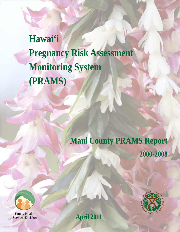**Hawai'i Pregnancy Risk Assessment regnancy Risk Assessment Monitoring System (PRAMS)**

**Maui County PRAMS Report aui County PRAMS**

**2000-2008 000-2008**



**Family Health Services Division** 



**April 2011 pril**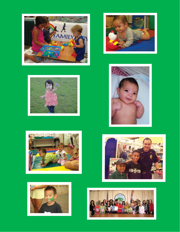













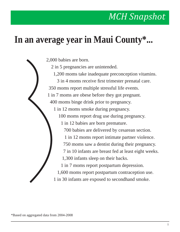### *MCH Snapshot*

# **In an average year in Maui County\*... n an average year in Maui County\* ...**

2,000 babies are born.

2 in 5 pregnancies are unintended.

1,200 moms take inadequate preconception vitamins.

3 in 4 moms receive first trimester prenatal care. 350 moms report multiple stressful life events.

 1 in 7 moms are obese before they got pregnant. 400 moms binge drink prior to pregnancy.

1 in 12 moms smoke during pregnancy.

100 moms report drug use during pregnancy.

1 in 12 babies are born premature.

700 babies are delivered by cesarean section.

1 in 12 moms report intimate partner violence.

750 moms saw a dentist during their pregnancy.

7 in 10 infants are breast fed at least eight weeks.

1,300 infants sleep on their backs.

1 in 7 moms report postpartum depression.

1,600 moms report postpartum contraception use.

1 in 30 infants are exposed to secondhand smoke.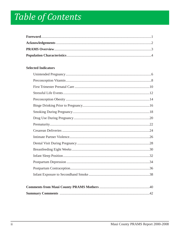# Table of Contents

#### **Selected Indicators**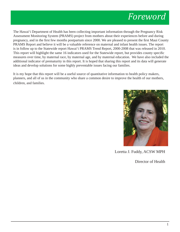### *Foreword*

The Hawai'i Department of Health has been collecting important information through the Pregnancy Risk Assessment Monitoring System (PRAMS) project from mothers about their experiences before and during pregnancy, and in the first few months postpartum since 2000. We are pleased to present the first Maui County PRAMS Report and believe it will be a valuable reference on maternal and infant health issues. The report is in follow up to the Statewide report Hawai'i PRAMS Trend Report, 2000-2008 that was released in 2010. This report will highlight the same 16 indicators used for the Statewide report, but provides county specific measures over time, by maternal race, by maternal age, and by maternal education. We have also included the additional indicator of prematurity in this report. It is hoped that sharing this report and its data will generate ideas and develop solutions for some highly preventable issues facing our families.

It is my hope that this report will be a useful source of quantitative information to health policy makers, planners, and all of us in the community who share a common desire to improve the health of our mothers, children, and families.



Loretta J. Fuddy, ACSW MPH

Director of Health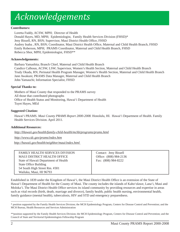### *Acknowledgements*

#### **Contributors:**

Loretta Fuddy, ACSW, MPH; Director of Health Donald Hayes, MD, MPH; Epidemiologist, Family Health Services Division (FHSD)\* Jeny Bissell, RN, BSN; Supervisor, Maui District Health Office, FHSD Audrey Inaba, RN, BSN; Coordinator, Maui District Health Office, Maternal and Child Health Branch, FHSD Emily Roberson, MPH; PRAMS Coordinator, Maternal and Child Health Branch, FHSD Rebecca Shor, MPH; Epidemiologist, FHSD\*\*

#### **Acknowledgements:**

Barbara Yamashita; Branch Chief, Maternal and Child Health Branch Candice Calhoun, ACSW, LSW; Supervisor, Women's Health Section, Maternal and Child Health Branch Trudy Okada, RN; Perinatal Health Program Manager, Women's Health Section, Maternal and Child Health Branch Jane Awakuni; PRAMS Data Manager, Maternal and Child Health Branch John Yamauchi; Information Specialist, FHSD

#### **Special Thanks to:**

Mothers of Maui County that responded to the PRAMS survey All those that contributed photographs Office of Health Status and Monitoring, Hawai'i Department of Health Tuyet Hayes, MEd

#### **Suggested Citation:**

Hawai'i PRAMS. *Maui County PRAMS Report 2000-2008.* Honolulu, HI. Hawai'i Department of Health. Family Health Services Division. April 2011.

#### **Additional Resources:**

*http://Hawaii.gov/health/family-child-health/mchb/programs/prams.html*

*http://www.cdc.gov/prams/index.htm*

*http://hawaii.gov/health/neighbor/maui/index.html* 

| <b>FAMILY HEALTH SERVICES DIVISION</b> | Contact: Jeny Bissell  |
|----------------------------------------|------------------------|
| <b>MAUI DISTRICT HEALTH OFFICE</b>     | Office: (808) 984-2136 |
| State of Hawaii Department of Health   | Fax: (808) 984-8222    |
| <b>State Office Building</b>           |                        |
| 54 South High Street Rm. #301          |                        |
| Wailuku, Maui, HI 96793                |                        |

Established in 1839 under the Kingdom of Hawai'i, the Maui District Health Office is an extension of the State of Hawai'i Department of Health for the County of Maui. The county includes the islands of Kaho'olawe, Lana'i, Maui and Moloka'i. The Maui District Health Office services its island community by providing resources and expertise in areas such as vital records (birth, death, marriage and divorce), family health, public health nursing, environmental health, family guidance (mental health), tuberculosis, HIV and STD and emergency preparedness.

---------------------------------------------------------------------------------------------

<sup>\*</sup> position supported by the Family Health Services Division; the MCH Epidemiology Program, Centers for Disease Control and Prevention; and the MCH Bureau, Health Resources and Services Administration

<sup>\*\*</sup>position supported by the Family Health Services Division; the MCH Epidemiology Program, Centers for Disease Control and Prevention; and the Council of State and Territorial Epidemiologists Fellowship Program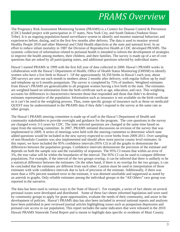### *PRAMS Overview*

The Pregnancy Risk Assessment Monitoring System (PRAMS) is a Centers for Disease Control & Prevention (CDC) funded project with participation in 37 states, New York City, and South Dakota (Yankton Sioux Tribe). It is an ongoing population-based surveillance system to identify and monitor maternal behaviors and experiences before, during, and in the first few months after delivery. The data is used to monitor several Healthy People 2010 and other Maternal and Child Health objectives at the state and national level. In an effort to reduce infant mortality in 1987 the Division of Reproductive Health at CDC developed PRAMS. The systemic collection of information related to perinatal health is intended to inform the development of strategies to improve the health among mothers, their children, and their families. The survey is made up of a set of core questions that are asked by all participating states, and additional questions selected by individual states.

Hawai'i started PRAMS in 1999 with the first full year of data collected in 2000. Hawai'i PRAMS works in collaboration with the Hawai'i Department of Health, Office of Health Status Monitoring (OHSM) to identify women who have a live birth in Hawai'i. Of the approximately 18,350 births in Hawai'i each year, about 200 surveys are sent out each month to mothers about 2 months after delivery, with regular follow up by mail and telephone up to 6 months postpartum. The survey is completed by 75% of mothers. Weighted estimates from Hawai'i PRAMS are generalizable to all pregnant women having a live birth in the state. The estimates are weighted based on information from the birth certificate such as age, education, and race. This weighting accounts for differences in characteristics between those that responded and those that didn't to develop estimates representative of the population. Information such as insurance is not available on the birth certificate so it can't be used in the weighting process. Thus, some specific groups of insurance such as those on medicaid/ QUEST may be underestimated in the PRAMS data if they didn't respond to the survey at the same rate as other groups.

The Hawai'i PRAMS steering committee is made up of staff in the Hawai'i Department of Health and community stakeholders to provide oversight and guidance for the program. The core questions in the survey are changed every 3-5 years by CDC. The state selected questions are changed at the same time based on input from the steering committee. In 2007, PRAMS initiated discussions on revision of the survey that was implemented in 2009. A series of meetings were held with the steering committee to determine which state added questions would be included in the new survey expected to cover births from 2009-2011. Over sampling of non-Honolulu Counties was also implemented and should allow more precise county level estimates. In this report, we have included the 95% confidence intervals (95% CI) in all the graphs to demonstrate the differences between the population groups. Confidence intervals demonstrate the precision of the estimate and depends on both the sample size and the variability of responses. The 95% CI means that within an error of 5%, the true value will be within the boundaries of the interval. The 95% CI can be used to compare different populations. For example, if the interval of the two groups overlap, it can be inferred that there is unlikely to be a statistical difference between the estimates. On the other hand, if there is no overlap for the two groups, it can be concluded that the estimates are different from each other. Caution must be used in interpretation of those estimates with wide confidence intervals due to lack of precision of the estimate. Additionally, if there was more than a 10% percent standard error in the estimate, it was deemed unreliable and suppressed as noted by an asterisk in graphs. Only reliable estimates among the individual groups in the "All Others" race group was reported in the narrative.

The data has been used in various ways in the State of Hawai'i. For example, a series of fact sheets on several perinatal issues were developed and distributed. Some of these fact sheets informed legislation and were used by community groups to apply for grant opportunities, evaluate the needs of their community, and assist in the development of policies. Hawai'i PRAMS data has also been included in several national reports and analyses have been published in peer reviewed journal articles highlighting issues such as postpartum depression and prenatal care access in our population. This report includes the same indicators that were released in the 2010 Hawaii PRAMS Statewide Trend Report and is meant to highlight data specific to residents of Maui County.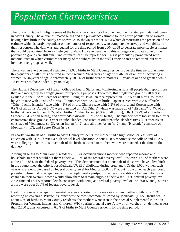### *Population Characteristics*

The following table highlights some of the basic characteristics of women and their related perinatal outcomes in Maui County. The annual estimated births and the prevalence estimate for the entire population of women having a live birth in the county are shown. Also shown are the 95% CI which demonstrates the precision of the estimate which is partly dependent on the number of respondents who complete the survey and variability in their responses. The data was aggregated for the time period from 2004-2008 to generate more stable estimates than could be obtained from a single year of data. However, even with this aggregation of data some of the population groups are still small and estimates can't be reported for. This is particularly pronounced with maternal race in which estimates for many of the subgroups in the "All Others" can't be reported, but does involve other groups as well.

There was an average annual estimate of 2,000 births to Maui County residents over the time period. Almost three-quarters of all births occurred in those women 20-34 years of age with 46.6% of all births occurring in women 25-34 years of age. Approximately 18.5% of births were to mothers 35 years of age and greater, while 10.1% were to those under 20 years of age.

The Hawai'i Department of Health, Office of Health Status and Monitoring assigns all people that report more than one race group to a single group for reporting purposes. Therefore, this single race group is all that is available in the PRAMS data for analysis. Being of Hawaiian race represented 32.7% of all births, followed by White race with 25.0% of births, Filipino race with 22.2% of births, Japanese race with 8.2% of births, "Other Pacific Islander" race with 4.1% of births, Chinese race with 1.2% of births, and Korean race with 0.9% of all births. About 5.8% were classified as "All Others" which was made up of "Hispanic" (2.4% of all births), American Indian (1.3% of all births), "Other Asian" (0.9% of all births), Black (0.7% of all births), Samoan (0.4% of all births), and "refused/unknown" (0.2% of all births). The numbers were too small to further characterize these groups: "Other Pacific Islander" consisted of other pacific islanders ( $n=30$ ); "Other Asian" consisted of Vietnamese (n=3), Asian Indian (n=2), and all other Asian (n=2); and "Hispanic" consisted of Mexican (n=17), and Puerto Rican (n=3).

In nearly two-thirds of all births to Maui County residents, the mother had a high school or less level of education with 51.2% having a high school level education. About 18.8% reported some college and 19.2% were college graduates. Just over half of the births occurred to mothers who were married at the time of the delivery.

Among all births to Maui County residents, 31.6% occurred among mothers who reported income and household size that would put them at below 100% of the federal poverty level. Just over 20% of mothers were at the 101-185% of the federal poverty level. This demonstrates that about half of those who have a live birth in the county meet the criteria for Medicaid/QUEST eligibility during pregnancy. Of the 1,000 women each year who are eligible based on federal poverty level for Medicaid/QUEST, about 400 women each year could potentially lose that coverage postpartum at eight weeks postpartum unless the addition of a new infant or a change in their overall income would allow them to remain eligible at below the 100% federal poverty level. An estimated 13.4% reported levels consistent with being at a federal poverty level of 186-300%, and just over a third were over 300% of federal poverty level.

Health insurance coverage for prenatal care was reported by the majority of new mothers with only 2.8% reporting no coverage. Private insurance was the most common, followed by Medicaid/QUEST Insurance. In about 60% of births to Maui County residents, the mothers were seen in the Special Supplemental Nutrition Program for Women, Infants, and Children (WIC) during prenatal care. A low birth weight birth, defined as less than 2,500 grams, occurred in 6.0% of births to Maui County residents for the time period.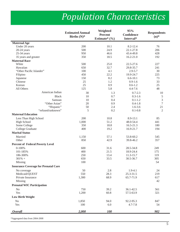# *Population Characteristics*

|                                             | <b>Estimated Annual</b><br>Births $(N)^*$ | Weighted<br><b>Percent</b><br>Estimate* $(\% )$ | 95%<br><b>Confidence</b><br><b>Interval*</b> | <b>Respondents</b><br>$(n)$ * |
|---------------------------------------------|-------------------------------------------|-------------------------------------------------|----------------------------------------------|-------------------------------|
| <b>Maternal Age</b>                         |                                           |                                                 |                                              |                               |
| Under 20 years                              | 200                                       | 10.1                                            | $8.2 - 12.4$                                 | 76                            |
| $20-24$ years                               | 500                                       | 24.9                                            | 22.1-27.8                                    | 206                           |
| 25-34 years                                 | 950                                       | 46.6                                            | 43.4-49.8                                    | 428                           |
| 35 years and greater                        | 350                                       | 18.5                                            | 16.2-21.0                                    | 192                           |
| <b>Maternal Race</b>                        |                                           |                                                 |                                              |                               |
| White                                       | 500                                       | 25.0                                            | 22.5-27.6                                    | 227                           |
| Hawaiian                                    | 650                                       | 32.7                                            | 29.8-35.7                                    | 241                           |
| "Other Pacific Islander"                    | 100                                       | 4.1                                             | $2.9 - 5.7$                                  | 30                            |
| Filipino                                    | 450                                       | 22.2                                            | 19.9-24.7                                    | 225                           |
| Japanese                                    | 150                                       | 8.2                                             | $6.6 - 10.1$                                 | 73                            |
| Chinese                                     | 25                                        | 1.2                                             | $0.9 - 1.6$                                  | 33                            |
| Korean                                      | 25                                        | 0.9                                             | $0.6 - 1.2$                                  | 25                            |
| All Others                                  | 125                                       | 5.8                                             | $4.4 - 7.6$                                  | 48                            |
| American Indian                             | 30                                        | 1.3                                             | $0.7 - 2.3$                                  | 10                            |
| <b>Black</b>                                | 10                                        | 0.7                                             | $0.3 - 1.6$                                  | 5                             |
| Samoan                                      | 10                                        | 0.4                                             | $0.1 - 1.2$                                  | $\mathfrak{Z}$                |
| "Other Asian"                               | 20                                        | 0.9                                             | $0.4 - 1.8$                                  | $\tau$                        |
| "Hispanic"                                  | 50                                        | 2.4                                             | $1.6 - 3.6$                                  | 21                            |
| "refused/unknown"                           | 5                                         | 0.2                                             | $0.1 - 0.8$                                  | $\overline{2}$                |
| <b>Maternal Education</b>                   |                                           |                                                 |                                              |                               |
| Less Than High School                       | 200                                       | 10.8                                            | 8.9-13.1                                     | 85                            |
| <b>High School</b>                          | 1,000                                     | 51.2                                            | 48.0-54.4                                    | 441                           |
| Some College                                | 350                                       | 18.8                                            | 16.5-21.3                                    | 180                           |
| College Graduate                            | 400                                       | 19.2                                            | 16.9-21.7                                    | 194                           |
| <b>Marital Status</b>                       |                                           |                                                 |                                              |                               |
| Married                                     | 1,150                                     | 57.1                                            | 53.8-60.2                                    | 545                           |
| Other                                       | 850                                       | 42.9                                            | 39.8-46.2                                    | 357                           |
| <b>Percent of Federal Poverty Level</b>     |                                           |                                                 |                                              |                               |
| $0 - 100%$                                  | 600                                       | 31.6                                            | 28.5-34.8                                    | 249                           |
| 101-185%                                    | 400                                       | 21.5                                            | 18.9-24.4                                    | 175                           |
| 186-300%                                    | 250                                       | 13.4                                            | 11.3-15.7                                    | 119                           |
| $301\% +$                                   | 650                                       | 33.5                                            | 30.5-36.7                                    | 305                           |
| Missing                                     | 100                                       |                                                 |                                              | 54                            |
| <b>Insurance Coverage for Prenatal Care</b> |                                           |                                                 |                                              |                               |
| No coverage                                 | 50                                        | 2.8                                             | 1.9-4.1                                      | 24                            |
| Medicaid/QUEST                              | 550                                       | 28.3                                            | 25.3-31.5                                    | 219                           |
| Private Insurance                           | 1,300                                     | 68.9                                            | 65.7-71.9                                    | 617                           |
| Missing                                     |                                           |                                                 |                                              | 42                            |
| <b>Prenatal WIC Participation</b>           |                                           |                                                 |                                              |                               |
| No                                          | 750                                       | 39.2                                            | $36.1 - 42.5$                                | 561                           |
| Yes                                         | 1,200                                     | 60.8                                            | 57.5-63.9                                    | 321                           |
| <b>Low Birth Weight</b>                     |                                           |                                                 |                                              |                               |
|                                             |                                           |                                                 |                                              |                               |
| No                                          | 1,850                                     | 94.0                                            | 92.2-95.3                                    | 847                           |
| Yes                                         | 100                                       | 6.0                                             | $4.7 - 7.8$                                  | 54                            |
| <b>Overall</b>                              | 2,000                                     | 100                                             |                                              | 902                           |

\*Aggregated data from 2004-2008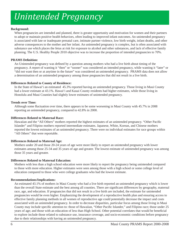### *Unintended Pregnancy*

#### **Background:**

When pregnancies are intended and planned, there is greater opportunity and motivation for women and their partners to adopt or maintain positive health behaviors, often leading to improved infant outcomes. An unintended pregnancy is associated with late or inadequate prenatal care, intimate partner violence, low birth weight, infant deaths, and other adverse consequences to the mother and her infant. An unintended pregnancy is complex, but is often associated with substance use which places the fetus at risk for exposure to alcohol and other substances, and lack of effective family planning. The U.S. Healthy People 2010 objective was to increase the proportion of intended pregnancies to 70%.

#### **PRAMS Definition:**

An Unintended pregnancy was defined by a question among mothers who had a live birth about timing of the pregnancy. A report of wanting it "then" or "sooner" was considered an intended pregnancy, while wanting it "later" or "did not want then or at anytime in the future" was considered an unintended pregnancy. PRAMS data does not allow a determination of an unintended pregnancy among those pregnancies that did not result in a live birth.

#### **Differences Related to County of Residence:**

In the State of Hawai'i an estimated 45.3% reported having an unintended pregnancy. Those living in Maui County had a lower estimate at 43.1%. Hawai'i and Kauai County residents had higher estimates, while those living in Honolulu and Maui Counties had slightly lower estimates of unintended pregnancy.

#### **Trends over Time:**

Although some fluctuation over time, there appears to be some worsening in Maui County with 45.7% in 2008 reporting an unintended pregnancy, compared to 42.8% in 2000.

#### **Differences Related to Maternal Race:**

Hawaiian and the "All Others" mothers reported the highest estimates of an unintended pregnancy. "Other Pacific Islander" and Filipino mothers reported intermediate estimates. Japanese, White, Korean, and Chinese mothers reported the lowest estimates of an unintended pregnancy. There were no individual estimates for race groups within "All Others" that were reportable.

#### **Differences Related to Maternal Age:**

Mothers under 20 and those 20-24 years of age were more likely to report an unintended pregnancy with lower estimates among those 25-34 and 35 years of age and greater. The lowest estimate of unintended pregnancy was among those 35 years and greater.

#### **Differences Related to Maternal Education:**

Mothers with less than a high school education were more likely to report the pregnancy being unintended compared to those with more education. Higher estimates were seen among those with a high school or some college level of education compared to those who were college graduates who had the lowest estimate.

#### **Recommendations/Implications:**

An estimated 43.1% of mothers in Maui County who had a live birth reported an unintended pregnancy which is lower than the overall State estimate and the best among all counties. There are significant differences by geography, maternal race, age, and education. If pregnancies that did not result in a live birth are included, the estimate for unintended pregnancies would be even higher. Emphasizing the development of a reproductive health plan and ensuring access to effective family planning methods in all women of reproductive age could potentially decrease the impact and costs associated with an unintended pregnancy. In order to decrease disparities, particular focus among those living in Maui County may include specific attention to: those of Hawaiian, "Other Pacific Islander," and Filipino race; those under 25 years of age; and those with an education of less than High School. Other potential correlates that would be beneficial to explore include those related to substance use, insurance coverage, and socio-economic conditions before pregnancy due to their relationships with having an unintended pregnancy.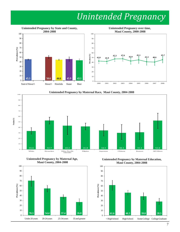### *Unintended Pregnancy*









**Unintended Pregnancy by Maternal Education, Maui County, 2004-2008**

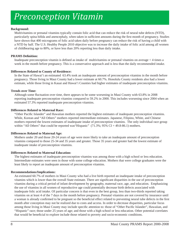### *Preconception Vitamin*

#### **Background:**

Multivitamins or prenatal vitamins typically contain folic acid that can reduce the risk of neural tube defects (NTD), particularly spina bifida and anencephaly, when taken in sufficient amounts during the first month of pregnancy. Studies have shown that 400 micrograms of folic acid taken daily before pregnancy can reduce the risk of having a child with a NTD by half. The U.S. Healthy People 2010 objective was to increase the daily intake of folic acid among all women of childbearing age to 80%, or have less than 20% reporting less than daily intake.

#### **PRAMS Definition:**

Inadequate preconception vitamin is defined as intake of multivitamins or prenatal vitamins on average  $<$  4 times a week in the month before pregnancy. This is a conservative approach and is less than the daily recommended intake.

#### **Differences Related to County of Residence:**

In the State of Hawai'i an estimated 63.4% took an inadequate amount of preconception vitamins in the month before pregnancy. Those living in Maui County had a lower estimate at 60.7%. Honolulu County residents also had a lower estimate, while those living in Kauai and Hawai'i Counties had higher estimates of inadequate preconception vitamins.

#### **Trends over Time:**

Although some fluctuation over time, there appears to be some worsening in Maui County with 63.8% in 2008 reporting inadequate preconception vitamins compared to 59.2% in 2000. This includes worsening since 2004 when an estimated 57.3% reported inadequate preconception vitamins.

#### **Differences Related to Maternal Race:**

"Other Pacific Islander" and Hawaiian mothers reported the highest estimates of inadequate preconception vitamins. While, Korean and "All Others" mothers reported intermediate estimates. Japanese, Filipino, White, and Chinese mothers reported the lowest estimates of inadequate intake of preconception vitamins. The only individual race group within "All Others" that could be reported was "Hispanic"  $(71.3\%; 95\% \text{ CI} = 49.8-86.1)$  mothers.

#### **Differences Related to Maternal Age:**

Mothers under 20 and those 20-24 years of age were more likely to take an inadequate amount of preconception vitamins compared to those 25-34 and 35 years and greater. Those 35 years and greater had the lowest estimate of inadequate intake of preconception vitamins.

#### **Differences Related to Maternal Education:**

The highest estimates of inadequate preconception vitamins was among those with a high school or less education. Intermediate estimates were seen in those with some college education. Mothers that were college graduates were the least likely to report an inadequate amount of preconception vitamins.

#### **Recommendations/Implications:**

An estimated 60.7% of mothers in Maui County who had a live birth reported an inadequate intake of preconception vitamins which is lower than the overall State estimate. There are significant disparities in the use of preconception vitamins during a critical period of infant development by geography, maternal race, age, and education. Emphasizing the use of vitamins in all women of reproductive age could potentially decrease birth defects associated with inadequate folic acid intake. Of particular concern is that even in the best group, less than two-thirds reported taking vitamins on at least 4 of the 7 days in the month before pregnancy. Prenatal vitamins are not covered by insurance until a woman is already confirmed to be pregnant so the beneficial effect related to preventing neural tube defects in the first month after conception may not be realized due to costs and access. In order to decrease disparities, particular focus among those living in Maui County may include specific attention to: those of "Other Pacific Islander", Hawaiian, and "Hispanic" race; those under 25 years of age; and those with a high school or less education. Other potential correlates that would be beneficial to explore include those related to poverty and socio-economic conditions.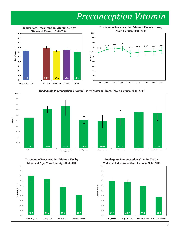### *Preconception Vitamin*









**Inadequate Preconception Vitamin Use by Maternal Education, Maui County, 2004-2008**

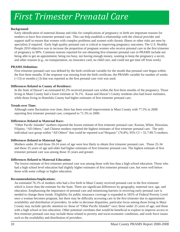### *First Trimester Prenatal Care*

#### **Background:**

Early identification of maternal disease and risks for complications of pregnancy or birth are important reasons for mothers to have first trimester prenatal care. This can help establish a relationship with the clinical provider and support staff to ensure that women with complex problems and women with chronic illness or other risks are seen by specialists if required. Early high quality prenatal care is critical to improving pregnancy outcomes. The U.S. Healthy People 2010 objective was to increase the proportion of pregnant women who receive prenatal care in the first trimester of pregnancy to 90%. Common reasons reported for not obtaining first trimester prenatal care in PRAMS include not being able to get an appointment, being too busy, not having enough money, wanting to keep the pregnancy a secret, and other reasons (e.g., no transportation, no insurance card, no child care, and could not get time off from work).

#### **PRAMS Definition:**

First trimester prenatal care was defined by the birth certificate variable for the month that prenatal care began within the first three months. If the response was missing from the birth certificate, the PRAMS variable for number of weeks  $(\leq 13)$  or months  $(\leq 3)$  that was reported as the first prenatal care visit was used.

#### **Differences Related to County of Residence:**

In the State of Hawai'i an estimated 82.2% received prenatal care within the first three months of the pregnancy. Those living in Maui County had a lower estimate at 76.1%. Kauai and Hawai'i County residents also had lower estimates, while those living in Honolulu County had higher estimates of first trimester prenatal care.

#### **Trends over Time:**

Although some fluctuation over time, there has been overall improvement in Maui County with 77.5% in 2008 reporting first trimester prenatal care, compared to 71.3% in 2000.

#### **Differences Related to Maternal Race:**

"Other Pacific Islander" mothers reported the lowest estimate of first trimester prenatal care. Korean, White, Hawaiian, Filipino, "All Others," and Chinese mothers reported the highest estimates of first trimester prenatal care. The only individual race group within "All Others" that could be reported was "Hispanic" (76.8%; 95% CI = 55.7-89.7) mothers.

#### **Differences Related to Maternal Age:**

Mothers under 20 and those 20-24 years of age were less likely to obtain first trimester prenatal care. Those 25-34 and those 35 years of age and older had higher estimates of first trimester prenatal care. The highest estimate of first trimester prenatal care was among those 35 years and greater.

#### **Differences Related to Maternal Education:**

The lowest estimate of first trimester prenatal care was among those with less than a high school education. Those who had a high school level education had slightly higher estimates of first trimester prenatal care, but were well below those with some college or higher education.

#### **Recommendations/Implications:**

An estimated 76.1% of mothers who had a live birth in Maui County received prenatal care in the first trimester which is lower than the estimate for the State. There are significant differences by geography, maternal race, age, and education. Emphasizing the importance of prenatal care and minimizing barriers in receiving early prenatal care is needed to change these trends. Eligibility for public insurance coverage is expanded to 185% of Federal Poverty Level once a woman becomes pregnant, but there may be difficulty accessing care in the first trimester due to appointment availability and distribution of providers. In order to decrease disparities, particular focus among those living in Maui County may include specific attention to: those of "Other Pacific Islander" race; those under 25 years of age; and those with a high school or less education. Other potential correlates that would be beneficial to explore to improve access to first trimester prenatal care may include those related to poverty and socio-economic conditions, and work force issues such as the availability and distribution of providers.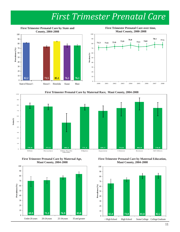### *First Trimester Prenatal Care*





**First Trimester Prenatal Care over time,**





**First Trimester Prenatal Care by Maternal Age, Maui County, 2004-2008**



**First Trimester Prenatal Care by Maternal Education, Maui County, 2004-2008**

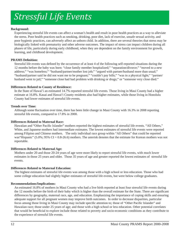### *Stressful Life Events*

#### **Background:**

Experiencing stressful life events can affect a woman's health and result in poor health practices as a way to alleviate the stress. Poor health practices such as smoking, drinking, poor diet, lack of exercise, unsafe sexual activity, and poor hygienic practices, can adversely affect an unborn child. In addition, there are several theories that stress may be biologically linked with prematurity and other adverse outcomes. The impact of stress can impact children during all phases of life, particularly during early childhood, when they are dependent on the family environment for growth, learning, and childhood development.

#### **PRAMS Definition:**

Stressful life events was defined by the occurrence of at least 4 of the following self-reported situations during the 12 months before the baby was born: "close family member hospitalized;" "separation/divorce;" "moved to a new address;" "was homeless;" "husband/partner/mother lost job;" "argued with partner/husband more than usual;" "husband/partner said he did not want me to be pregnant;" "couldn't pay bills;" "was in a physical fight;" "partner/ husband went to jail;" "someone close had bad problem with drinking or drugs;" or "someone very close died."

#### **Differences Related to County of Residence:**

In the State of Hawai'i an estimated 14.7% reported stressful life events. Those living in Maui County had a higher estimate at 16.8%. Kauai and Hawai'i County residents also had higher estimates, while those living in Honolulu County had lower estimates of stressful life events.

#### **Trends over Time:**

Although some fluctuation over time, there has been little change in Maui County with 16.3% in 2008 reporting stressful life events, compared to 17.8% in 2000.

#### **Differences Related to Maternal Race:**

Hawaiian and "Other Pacific Islander" mothers reported the highest estimates of stressful life events. "All Others," White, and Japanese mothers had intermediate estimates. The lowest estimates of stressful life events were reported among Filipino and Chinese mothers. The only individual race group within "All Others" that could be reported was "Hispanic" (5.0%;  $95\%$  CI = 0.8-26.6) mothers. The asterisk denotes that the estimate for Korean mothers was not reportable.

#### **Differences Related to Maternal Age:**

Mothers under 20 and those 20-24 years of age were more likely to report stressful life events, with much lower estimates in those 25 years and older. Those 35 years of age and greater reported the lowest estimates of stressful life events.

#### **Differences Related to Maternal Education:**

The highest estimates of stressful life events was among those with a high school or less education. Those who had some college education had slightly higher estimates of stressful life events, but were below college graduates.

#### **Recommendations/Implications:**

An estimated 16.8% of mothers in Maui County who had a live birth reported at least four stressful life events during the 12 months before the birth of their baby which is higher than the overall estimate for the State. There are significant differences by geography, maternal race, age, and education. Emphasizing the importance of coping skills and ensuring adequate support for all pregnant women may improve birth outcomes. In order to decrease disparities, particular focus among those living in Maui County may include specific attention to; those of "Other Pacific Islander" and Hawaiian race; those under 25 years of age; and those with a high school or less education. Other potential correlates that would be beneficial to explore include those related to poverty and socio-economic conditions as they contribute to the experience of stressful life events.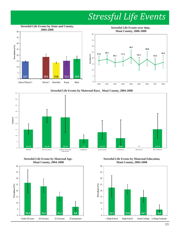### *Stressful Life Events*









**Stressful Life Events by Maternal Education, Maui County, 2004-2008**

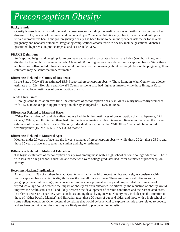### *Preconception Obesity*

#### **Background:**

Obesity is associated with multiple health consequences including the leading causes of death such as coronary heart disease, stroke, cancers of the breast and colon, and type 2 diabetes. Additionally, obesity is associated with poor female reproductive health and pre-pregnancy obesity has been found to be an independent risk factor for adverse pregnancy and neonatal outcomes. Pregnancy complications associated with obesity include gestational diabetes, gestational hypertension, pre-eclampsia, and cesarean delivery.

#### **PRAMS Definition:**

Self-reported height and weight prior to pregnancy was used to calculate a body mass index (weight in kilograms divided by the height in meters-squared). A level of 30.0 or higher was considered preconception obesity. Since these are based on self-reported information several months after the pregnancy about her weight before the pregnancy, these estimates may be somewhat underestimated.

#### **Differences Related to County of Residence:**

In the State of Hawai'i an estimated 15.8% reported preconception obesity. Those living in Maui County had a lower estimate at 14.2%. Honolulu and Hawai'i County residents also had higher estimates, while those living in Kauai County had lower estimates of preconception obesity.

#### **Trends Over Time:**

Although some fluctuation over time, the estimates of preconception obesity in Maui County has steadily worsened with 14.7% in 2008 reporting preconception obesity, compared to 11.0% in 2000.

#### **Differences Related to Maternal Race:**

"Other Pacific Islander" and Hawaiian mothers had the highest estimates of preconception obesity. Japanese, "All Others," White, and Filipino mothers had intermediate estimates, while Chinese and Korean mothers had the lowest estimates of preconception obesity. The only individual race group within "All Others" that could be reported was "Hispanic" (15.0%; 95% CI = 5.1-36.6) mothers.

#### **Differences Related to Maternal Age:**

Mothers under 20 years of age had the lowest estimates of preconception obesity, while those 20-24, those 25-34, and those 35 years of age and greater had similar and higher estimates.

#### **Differences Related to Maternal Education:**

The highest estimates of preconception obesity was among those with a high school or some college education. Those with less than a high school education and those who were college graduates had lower estimates of preconception obesity.

#### **Recommendations/Implications:**

An estimated 14.2% of mothers in Maui County who had a live birth report heights and weights consistent with preconception obesity, which is slightly below the overall State estimate. There are significant differences by geography, maternal race, age, and education. Emphasizing physical activity and proper nutrition in women of reproductive age could decrease the impact of obesity on birth outcomes. Additionally, the reduction of obesity would improve the health status of all and likely decrease the development of chronic conditions and their associated costs. In order to decrease disparities, particular focus among those living in Maui County may include specifi c attention to: those of "Other Pacific Islander" and Hawaiian race; those 20 years of age and older; and those with a high school or some college education. Other potential correlates that would be beneficial to explore include those related to poverty and socio-economic conditions as they are likely related to preconception obesity.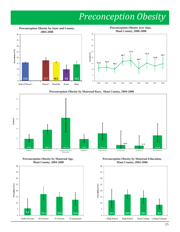### *Preconception Obesity*











**Preconception Obesity by Maternal Education, Maui County, 2004-2008**

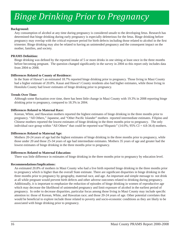# *Binge Drinking Prior to Pregnancy*

#### **Background:**

Any consumption of alcohol at any time during pregnancy is considered unsafe to the developing fetus. Research has determined that binge drinking during early pregnancy is especially deleterious for the fetus. Binge drinking before pregnancy may overlap with the critical exposure period for birth defects including those related to alcohol in the first trimester. Binge drinking may also be related to having an unintended pregnancy and the consequent impact on the mother, families, and society.

#### **PRAMS Definition:**

Binge drinking was defined by the reported intake of 5 or more drinks in one sitting at least once in the three months before becoming pregnant. The question changed significantly in the survey in 2004 so this report only includes data from 2004 to 2008.

#### **Differences Related to County of Residence:**

In the State of Hawai'i an estimated 18.7% reported binge drinking prior to pregnancy. Those living in Maui County had a higher estimate of 20.8%. Kauai and Hawai'i County residents also had higher estimates, while those living in Honolulu County had lower estimates of binge drinking prior to pregnancy.

#### **Trends Over Time:**

Although some fluctuation over time, there has been little change in Maui County with 19.3% in 2008 reporting binge drinking prior to pregnancy, compared to 18.3% in 2004.

#### **Differences Related to Maternal Race:**

Korean, White, and Hawaiian mothers reported the highest estimates of binge drinking in the three months prior to pregnancy. "All Others," Japanese, and "Other Pacific Islander" mothers reported intermediate estimates. Filipino and Chinese mothers reported the lowest estimates of binge drinking in the three months prior to pregnancy. The only individual race group within "All Others" that could be reported was "Hispanic" (14.0%; 95% CI = 4.8-34.4) mothers.

#### **Differences Related to Maternal Age:**

Mothers 20-24 years of age had the highest estimates of binge drinking in the three months prior to pregnancy, while those under 20 and those 25-34 years of age had intermediate estimates. Mothers 35 years of age and greater had the lowest estimates of binge drinking in the three months prior to pregnancy.

#### **Differences Related to Maternal Education:**

There was little difference in estimates of binge drinking in the three months prior to pregnancy by education level.

#### **Recommendations/Implications:**

An estimated 20.8% of mothers in Maui County who had a live birth reported binge drinking in the three months prior to pregnancy which is higher than the overall State estimate. There are significant disparities in binge drinking in the three months prior to pregnancy by geography, maternal race, and age. An important and simple message to not drink at all while pregnant would prevent birth defects and other adverse outcomes related to drinking during pregnancy. Additionally, it is important to emphasize the reduction of episodes of binge drinking in women of reproductive age which may decrease the likelihood of unintended pregnancy and limit exposure of alcohol in the earliest period of pregnancy. In order to decrease disparities, particular focus among those living in Maui County may include specific attention to: those of Korean, White, and Hawaiian race; and those 20-24 years of age. Other potential correlates that would be beneficial to explore include those related to poverty and socio-economic conditions as they are likely to be associated with binge drinking prior to pregnancy.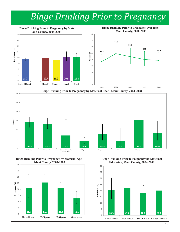### *Binge Drinking Prior to Pregnancy*





**Binge Drinking Prior to Pregnancy by Maternal Age, Maui County, 2004-2008**



**Binge Drinking Prior to Pregnancy by Maternal Education, Maui County, 2004-2008**

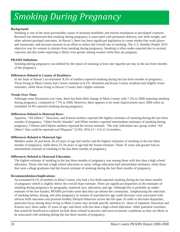# *Smoking During Pregnancy*

#### **Background:**

Smoking is one of the most preventable causes of neonatal morbidity and mental retardation in developed countries. Research has determined that smoking during pregnancy is associated with premature delivery, low birth weight, and other adverse perinatal outcomes. In Hawai'i, there has been significant legislation to create smoke-free work places and restaurants, and increase taxation in an effort to reduce the overall rate of smoking. The U.S. Healthy People 2010 objective was for women to abstain from smoking during pregnancy. Smoking is often under-reported due to societal concerns and this under-reporting is likely even greater among women while they are pregnant.

#### **PRAMS Definition:**

Smoking during pregnancy was defined by the report of smoking at least one cigarette per day in the last three months of the pregnancy.

#### **Differences Related to County of Residence:**

In the State of Hawai'i an estimated 8.5% of mothers reported smoking during the last three months of pregnancy. Those living in Maui County had a lower estimate at 8.1%. Honolulu and Kauai County residents had slightly lower estimates, while those living in Hawai'i County had a higher estimate.

#### **Trends Over Time:**

Although some fluctuation over time, there has been little change in Maui County with 7.2% in 2008 reporting smoking during pregnancy, compared to 7.7% in 2000. However, there appears to be some improvement since 2006 when an estimated 10.4% reported smoking during pregnancy.

#### **Differences Related to Maternal Race:**

Japanese, "All Others," Hawaiian, and Korean mothers reported the highest estimates of smoking during the last three months of pregnancy. "Other Pacific Islander" and White mothers reported intermediate estimates of smoking during pregnancy. Chinese and Filipino mothers reported the lowest estimate. The only individual race group within "All Others" that could be reported was "Hispanic"  $(3.9\%; 95\% \text{ CI} = 0.6-21.5)$  mothers.

#### **Differences Related to Maternal Age:**

Mothers under 20 and those 20-24 years of age had similar and the highest estimates of smoking in the last three months of pregnancy, while those 25-34 years of age had the lowest estimate. Those 35 years and greater had an intermediate estimate of smoking in the last three months of pregnancy.

#### **Differences Related to Maternal Education:**

The highest estimate of smoking in the last three months of pregnancy was among those with less than a high school education. Those who had a high school education or some college education had intermediate estimates, while those that were college graduates had the lowest estimate of smoking during the last three months of pregnancy.

#### **Recommendations/Implications:**

An estimated 8.1% of mothers in Maui County who had a live birth reported smoking during the last three months of pregnancy which is slightly below the overall State estimate. There are significant disparities in the estimates of smoking during pregnancy by geography, maternal race, education, and age. Although this is probably an underestimate of the true burden, PRAMS provides some data that can inform the community. Emphasizing the reduction of smoking before, during, and after pregnancy in women of reproductive age could decrease costs associated with adverse birth outcomes and promote healthy lifestyle behaviors across the life span. In order to decrease disparities, particular focus among those living in Maui County may include specific attention to: those of Japanese, Hawaiian and Korean race; those under 25 years of age; and those with less than a high school education. Other potential correlates that would be beneficial to explore include those related to poverty and socio-economic conditions as they are likely to be associated with smoking during the last three months of pregnancy.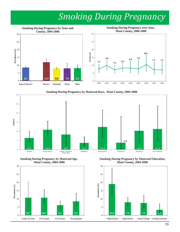# *Smoking During Pregnancy*



**Smoking During Pregnancy by Maternal Race, Maui County, 2004-2008**







**Smoking During Pregnancy by Maternal Education, Maui County, 2004-2008**

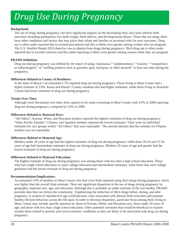# *Drug Use During Pregnancy*

#### **Background:**

The use of drugs during pregnancy can have significant impacts on the developing fetus and cause adverse birth outcomes including prematurity, low birth weight, birth defects, and developmental delays. Those that use drugs often have other conditions and factors that may place their infant and families at increased risks for poor outcomes. Drug use is often under reported due to societal perceptions and this is likely even greater among women who are pregnant. The U.S. Healthy People 2010 objective was to abstain from drugs during pregnancy. Illicit drug use is often underreported due to societal concerns and this under-reporting is likely even greater among women while they are pregnant.

#### **PRAMS Definition:**

Drug use during pregnancy was defined by the report of using "marijuana," "amphetamines," "cocaine," "tranquilizers or hallucinogens," or "sniffing products such as gasoline, glue, hairspray, or other aerosols" at least one time during the pregnancy.

#### **Differences Related to County of Residence:**

In the State of Hawai'i an estimated 2.7% reported drug use during pregnancy. Those living in Maui County had a higher estimate of 3.9%. Kauai and Hawai'i County residents also had higher estimates, while those living in Honolulu County had lower estimates of drug use during pregnancy.

#### **Trends Over Time:**

Although some fluctuation over time, there appears to be some worsening in Maui County with 4.9% in 2008 reporting drug use during pregnancy, compared to 3.6% in 2000.

#### **Differences Related to Maternal Race:**

"All Others", Korean, White, and Hawaiian mothers reported the highest estimates of drug use during pregnancy. "Other Pacific Islander," Chinese, and Japanese mothers reported the lowest estimates. There were no individual estimates for race groups within "All Others" that were reportable. The asterisk denotes that the estimate for Filipino mothers was not reportable.

#### **Differences Related to Maternal Age:**

Mothers under 20 years of age had the highest estimates of drug use during pregnancy, while those 20-24 and 25-34 years of age had intermediate estimates of drug use during pregnancy. Mothers 35 years of age and greater had the lowest estimates of drug use during pregnancy.

#### **Differences Related to Maternal Education:**

The highest estimate of drug use during pregnancy was among those with less than a high school education. Those who had a high school education or some college education had intermediate estimates, while those that were college graduates had the lowest estimate of drug use during pregnancy.

#### **Recommendations/Implications:**

An estimated 3.9% of mothers in Maui County who had a live birth reported using illicit drugs during pregnancy which was higher than the overall State estimate. There are significant disparities in the use of drugs during pregnancy by geography, maternal race, age, and education. Although this is probably an under-estimate of the true burden, PRAMS provides data that can inform the community. Emphasizing the reduction of illicit drugs before, during, and after pregnancy in women of reproductive age could decrease costs associated with adverse birth outcomes and promote healthy lifestyle behaviors across the life span. In order to decrease disparities, particular focus among those living in Maui County may include specific attention to: those of Korean, White, and Hawaiian race; those under 20 years of age; and those with less than a high school education. Other potential correlates that would be beneficial to explore include those related to poverty and socio-economic conditions as they are likely to be associated with drug use during pregnancy.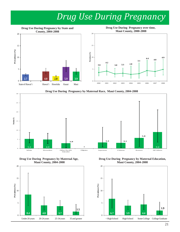### *Drug Use During Pregnancy*







**Drug Use During Pregnancy by Maternal Age, Maui County, 2004-2008**



**Drug Use During Pregnancy by Maternal Education, Maui County, 2004-2008**

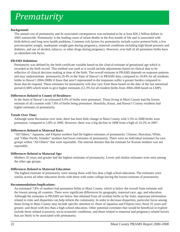### *Prematurity*

#### **Background:**

The annual cost of prematurity and its associated consequences was estimated to be at least \$26.2 billion dollars in 2005 nationwide. Prematurity is the leading cause of infant deaths in the first month of life and is associated with birth defects and long term health problems. Common risk factors for prematurity include a prior preterm birth, a low preconception weight, inadequate weight gain during pregnancy, maternal conditions including high blood pressure and diabetes, and use of alcohol, tobacco, or other drugs during pregnancy. However, over half of all premature births have no identified risk factor.

#### **PRAMS Definition:**

Prematurity was defined by the birth certificate variable based on the clinical estimate of gestational age which is recorded in the birth record. This method was used as it would include adjustments based on clinical data to be reflective of clinical decision making at time of the birth. The overall estimate in PRAMS depends on response patterns and may underestimate prematurity (9.4% in the State of Hawai'i in PRAMS data, compared to 10.8% for all residents births in Hawai'i 2004-2008) if those that aren't represented in the responses suffer a greater burden compared to those that do respond. These estimates for prematurity will also vary from those based on the date of the last menstrual period (LMP) which tends to give higher estimates (12.3% for all resident births from 2004-2008 based on LMP).

#### **Differences Related to County of Residence:**

In the State of Hawai'i an estimated 9.4% of births were premature. Those living in Maui County had the lowest estimate of all counties with 7.8% of births being premature. Honolulu, Kauai, and Hawai'i County residents had higher estimates of prematurity.

#### **Trends Over Time:**

Although some fluctuation over time, there has been little change in Maui County with 5.5% in 2008 births were premature, compared to 5.8% in 2000. However, there was a big decline in 2008 from a high of 10.2% in 2007.

#### **Differences Related to Maternal Race:**

"All Others," Japanese, and Filipino mothers had the highest estimates of prematurity. Chinese, Hawaiian, White, and "Other Pacific Islander" mothers had lower estimates of prematurity. There were no individual estimates for race groups within "All Others" that were reportable. The asterisk denotes that the estimate for Korean mothers was not reportable.

#### **Differences Related to Maternal Age:**

Mothers 35 years and greater had the highest estimates of prematurity. Lower and similar estimates were seen among the other age groups.

#### **Differences Related to Maternal Education:**

The highest estimate of prematurity were among those with less than a high school education. The estimates were similar across all other education levels with those with some college having the lowest estimate of prematurity.

#### **Recommendations/Implications:**

An estimated 7.8% of mothers had premature births in Maui County, which is below the overall State estimate and the lowest among all counties. There were significant differences by geography, maternal race, age, and education. Although the estimates in PRAMS are below that obtained from all resident births in the State, important information related to risks and disparities can help inform the community. In order to decrease disparities, particular focus among those living in Maui County may include specific attention to: those of Japanese and Filipino race; those 35 years and greater; and those with less than a high school education. Other potential correlates that would be beneficial to explore include those related to poverty, socio-economic conditions, and those related to maternal and pregnancy related factors that are likely to be associated with prematurity.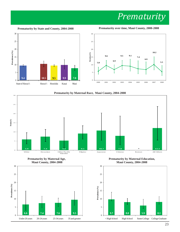### *Prematurity*

**Prematurity by State and County, 2004-2008 Prematurity over time, Maui County, 2000-2008**











**Prematurity by Maternal Education, Maui County, 2004-2008**

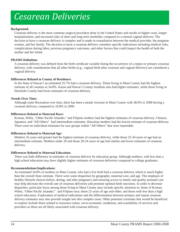### *Cesarean Deliveries*

#### **Background:**

Cesarean delivery is the most common surgical procedure done in the United States and results in higher costs, longer hospitalization, and increased risks of short and long term morbidity compared to a normal vaginal delivery. The decision to have a cesarean delivery is complex and is made in consultation between the medical provider, the pregnant women, and her family. The decision to have a cesarean delivery considers specific indications including medical risks, complications during labor, previous pregnancy outcomes, and other factors that could impact the health of both the mother and her infant.

#### **PRAMS Definition:**

A cesarean delivery was defined from the birth certificate variable listing the occurrence of a repeat or primary cesarean delivery, with consideration that all other births (e.g., vaginal birth after cesarean and vaginal delivery) are considered a vaginal delivery.

#### **Differences Related to County of Residence:**

In the State of Hawai'i an estimated 25.7% had a cesarean delivery. Those living in Maui County had the highest estimate of all counties at 34.8%. Kauai and Hawai'i County residents also had higher estimates, while those living in Honolulu County had lower estimates of cesarean delivery.

#### **Trends Over Time:**

Although some fluctuation over time, there has been a steady increase in Maui County with 38.0% in 2008 having a cesarean delivery, compared to 18.8% in 2000.

#### **Differences Related to Maternal Race:**

Korean, White, "Other Pacific Islander," and Filipino mothers had the highest estimates of cesarean delivery. Chinese, Japanese, and "All Others" had intermediate estimates. Hawaiian mothers had the lowest estimate of cesarean delivery. There were no individual estimates for race groups within "All Others" that were reportable.

#### **Differences Related to Maternal Age:**

Mothers 35 years and greater had the highest estimate of cesarean delivery, while those 25-34 years of age had an intermediate estimate. Mothers under 20 and those 20-24 years of age had similar and lower estimates of cesarean delivery.

#### **Differences Related to Maternal Education:**

There was little difference in estimates of cesarean delivery by education group. Although mothers, with less than a high school education may have slightly higher estimates of cesarean deliveries compared to college graduates.

#### **Recommendations/Implications:**

An estimated 34.8% of mothers in Maui County who had a live birth had a cesarean delivery which is much higher than the overall State estimate. There were some disparities by geography, maternal race, and age. The emphasis of healthy lifestyle choices before, during, and after pregnancy and ensuring access to timely and quality prenatal care may help decrease the overall rate of cesarean deliveries and promote optimal birth outcomes. In order to decrease disparities, particular focus among those living in Maui County may include specific attention to: those of Korean, White, "Other Pacific Islander," and Filipino race; those 25 years of age and older; and those with less than a high school education. Exploration of medical indications and the differentiation between primary and repeat cesarean delivery estimates may also provide insight into this complex issue. Other potential correlates that would be beneficial to explore include those related to insurance status, socio-economic conditions, and availability of services and providers as these are all likely associated with cesarean delivery.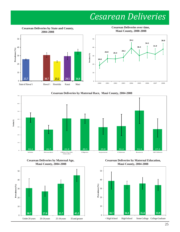### *Cesarean Deliveries*









**Cesarean Deliveries by Maternal Education, Maui County, 2004-2008**

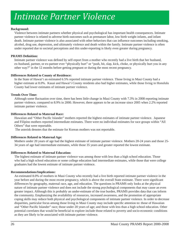### *Intimate Partner Violence*

#### **Background:**

Violence between intimate partners whether physical and psychological has important health consequences. Intimate partner violence is related to adverse birth outcomes such as premature labor, low birth weight infants, and infant death. Intimate partner violence is also associated with other behaviors that can influence outcomes including smoking, alcohol, drug use, depression, and ultimately violence and death within the family. Intimate partner violence is often under reported due to societal perceptions and this under-reporting is likely even greater during pregnancy.

#### **PRAMS Definition:**

Intimate partner violence was defined by self-report from a mother who recently had a live birth that her husband, ex-husband, partner, or ex-partner ever "physically hurt" or "push, hit, slap, kick, choke, or physically hurt you in any other way?" in the 12 months before getting pregnant or during the most recent pregnancy.

#### **Differences Related to County of Residence:**

In the State of Hawai'i an estimated 6.5% reported intimate partner violence. Those living in Maui County had a higher estimate at 8.0%. Kauai and Hawai'i County residents also had higher estimates, while those living in Honolulu County had lower estimates of intimate partner violence.

#### **Trends Over Time:**

Although some fluctuation over time, there has been little change in Maui County with 7.3% in 2008 reporting intimate partner violence, compared to 8.9% in 2000. However, there appears to be an increase since 2005 when 2.2% reported intimate partner violence.

#### **Differences Related to Maternal Race:**

Hawaiian and "Other Pacific Islander" mothers reported the highest estimates of intimate partner violence. Japanese and Filipino mothers reported intermediate estimates. There were no individual estimates for race groups within "All Others" that were reportable.

The asterisk denotes that the estimate for Korean mothers was not reportable.

#### **Differences Related to Maternal Age:**

Mothers under 20 years of age had the highest estimate of intimate partner violence. Mothers 20-24 years and those 25- 34 years of age had intermediate estimates, while those 35 years and greater reported the lowest estimate.

#### **Differences Related to Maternal Education:**

The highest estimate of intimate partner violence was among those with less than a high school education. Those who had a high school education or some college education had intermediate estimates, while those that were college graduates had the lowest estimate of intimate partner violence.

#### **Recommendations/Implications:**

An estimated 8.0% of mothers in Maui County who recently had a live birth reported intimate partner violence in the year before and during the most recent pregnancy, which is above the overall State estimate. There were significant differences by geography, maternal race, age, and education. The questions in PRAMS only looks at the physical nature of intimate partner violence and does not include the strong psychological components that may cause an even greater impact. Although this is probably an under-estimate of the true burden, PRAMS provides data that can inform the community. Emphasizing the availability of resources, increased awareness, and the promotion of appropriate coping skills may reduce both physical and psychological components of intimate partner violence. In order to decrease disparities, particular focus among those living in Maui County may include specific attention to: those of Hawaiian and "Other Pacific Islander" race; those under 20 years of age; and those with less than a high school education. Other potential correlates that would be beneficial to explore include those related to poverty and socio-economic conditions as they are likely to be associated with intimate partner violence.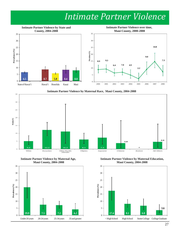### *Intimate Partner Violence*







**Intimate Partner Violence by Maternal Age, Maui County, 2004-2008**



**Intimate Partner Violence by Maternal Education, Maui County, 2004-2008**

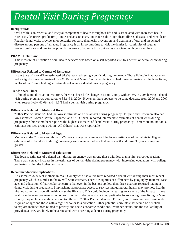### *Dental Visit During Pregnancy*

#### **Background:**

Oral health is an essential and integral component of health throughout life and is associated with increased health care costs, decreased productivity, increased absenteeism, and can result in significant illness, disease, and even death. Regular dental visits provide an opportunity for early diagnosis, prevention, and treatment of oral and associated disease among persons of all ages. Pregnancy is an important time to visit the dentist for continuity of regular professional care and due to the potential increase of adverse birth outcomes associated with poor oral health.

#### **PRAMS Definition:**

This measure of utilization of oral health services was based on a self-reported visit to a dentist or dental clinic during pregnancy.

#### **Differences Related to County of Residence:**

In the State of Hawai'i an estimated 38.9% reported seeing a dentist during pregnancy. Those living in Maui County had a slightly lower estimate of 37.9%. Kauai and Maui County residents also had lower estimates, while those living in Honolulu County had higher estimates of seeing a dentist during pregnancy.

#### **Trends Over Time:**

Although some fluctuation over time, there has been little change in Maui County with 34.6% in 2008 having a dental visit during pregnancy, compared to 35.1% in 2000. However, there appears to be some decrease from 2006 and 2007 when respectively, 40.0% and 41.1% had a dental visit during pregnancy.

#### **Differences Related to Maternal Race:**

"Other Pacific Islander" had the lowest estimate of a dental visit during pregnancy. Filipino and Hawaiian also had low estimates. Korean, White, Japanese, and "All Others" reported intermediate estimates of dental visits during pregnancy. Chinese mothers reported the highest estimates of dental visits during pregnancy. There were no individual estimates for race groups within "All Others" that were reportable.

#### **Differences Related to Maternal Age:**

Mothers under 20 years and those 20-24 years of age had similar and the lowest estimates of dental visits. Higher estimates of a dental visits during pregnancy were seen in mothers that were 25-34 and those 35 years of age and greater.

#### **Differences Related to Maternal Education:**

The lowest estimates of a dental visit during pregnancy was among those with less than a high school education. There was a steady increase in the estimates of dental visits during pregnancy with increasing education, with college graduates having the highest estimate.

#### **Recommendations/Implications:**

An estimated 37.9% of mothers in Maui County who had a live birth reported a dental visit during their most recent pregnancy which is similar to the overall State estimate. There are significant differences by geography, maternal race, age, and education. Of particular concern is that even in the best group, less than three-quarters reported having a dental visit during pregnancy. Emphasizing appropriate access to services including oral health may promote healthy birth outcomes and overall health across the life span. This could include increasing awareness of the impact that oral health can have on pregnancy outcomes. In order to decrease disparities, particular focus among those living in Maui County may include specific attention to: those of "Other Pacific Islander," Filipino, and Hawaiian race; those under 25 years of age; and those with a high school or less education. Other potential correlates that would be beneficial to explore include those related to poverty and socio-economic conditions, insurance status, and the availability of providers as they are likely to be associated with accessing a dentist during pregnancy.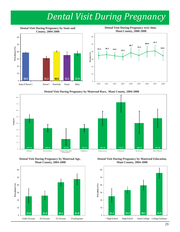### *Dental Visit During Pregnancy*







**Dental Visit During Pregnancy by Maternal Age, Maui County, 2004-2008**



**Dental Visit During Pregnancy by Maternal Education, Maui County, 2004-2008**

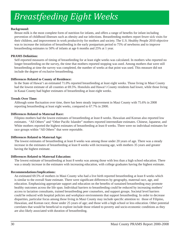### *Breastfeeding Eight Weeks*

#### **Background:**

Breast milk is the most complete form of nutrition for infants, and offers a range of benefits for infant including prevention of childhood illnesses such as obesity and ear infections. Breastfeeding mothers report fewer sick visits for their children, and improvement in work productivity for mothers and society. The U.S. Healthy People 2010 objective was to increase the initiation of breastfeeding in the early postpartum period to 75% of newborns and to improve breastfeeding estimates to 50% of infants at age 6 months and 25% at 1 year.

#### **PRAMS Definition:**

Self-reported measures of timing of breastfeeding for at least eight weeks was calculated. In mothers who reported no longer breastfeeding on the survey, the time that mothers reported stopping was used. Among mothers that were still breastfeeding at time the survey was completed, the number of weeks at that point was used. This measure did not include the degree of exclusive breastfeeding.

#### **Differences Related to County of Residence:**

In the State of Hawai'i an estimated 71.0% reported breastfeeding at least eight weeks. Those living in Maui County had the lowest estimate of all counties at 69.5%. Honolulu and Hawai'i County residents had lower, while those living in Kauai County had higher estimates of breastfeeding at least eight weeks.

#### **Trends Over Time:**

Although some fluctuation over time, there has been steady improvement in Maui County with 75.6% in 2008 reporting breastfeeding at least eight weeks, compared to 67.7% in 2000.

#### **Differences Related to Maternal Race:**

Filipino mothers had the lowest estimates of breastfeeding at least 8 weeks. Hawaiian and Korean also reported low estimates. "All Others" and "Other Pacific Islander" mothers reported intermediate estimates. Chinese, Japanese, and White mothers reported the highest estimates of breastfeeding at least 8 weeks. There were no individual estimates for race groups within "All Others" that were reportable.

#### **Differences Related to Maternal Age:**

The lowest estimates of breastfeeding at least 8 weeks was among those under 20 years of age. There was a steady increase in the estimates of breastfeeding at least 8 weeks with increasing age, with mothers 35 years and greater having the highest estimate.

#### **Differences Related to Maternal Education:**

The lowest estimate of breastfeeding at least 8 weeks was among those with less than a high school education. There was a steady increase in the estimates with increasing education, with college graduates having the highest estimate.

#### **Recommendations/Implications:**

An estimated 69.5% of mothers in Maui County who had a live birth reported breastfeeding at least 8 weeks which is similar to the overall State estimate. There were significant differences by geography, maternal race, age, and education. Emphasizing appropriate support and education on the benefits of sustained breastfeeding may promote healthy outcomes across the life span. Individual barriers to breastfeeding could be reduced by increasing mothers' access to lactation consultants, trained breastfeeding peer counselors, and support groups. Societal level barriers could be reduced with hospital policies and workplace environments that support breastfeeding. In order to decrease disparities, particular focus among those living in Maui County may include specifi c attention to: those of Filipino, Hawaiian, and Korean race; those under 25 years of age; and those with a high school or less education. Other potential correlates that would be beneficial to explore include those related to poverty and socio-economic conditions as they are also likely associated with duration of breastfeeding.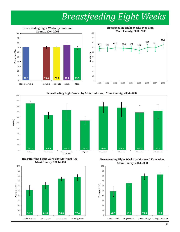## *Breastfeeding Eight Weeks*











**Breastfeeding Eight Weeks by Maternal Education, Maui County, 2004-2008**

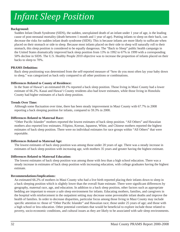# *Infant Sleep Position*

#### **Background:**

Sudden Infant Death Syndrome (SIDS), the sudden, unexplained death of an infant under 1 year of age, is the leading cause of post-neonatal mortality (death between 1 month and 1 year of age). Putting infants to sleep on their back, can decrease the risks for sudden infant death syndrome (SIDS). This is because infants are more likely to suffocate when placed on their stomach or side to sleep. Because most infants placed on their side to sleep will naturally roll to their stomach, this sleep position is considered to be equally dangerous. The "Back to Sleep" public health campaign in the United States dramatically improved back sleep position from 13% in 1992 to 67% in 1999 with a corresponding 50% decline in SIDS. The U.S. Healthy People 2010 objective was to increase the proportion of infants placed on their backs to sleep to 70%.

#### **PRAMS Definition:**

Back sleep positioning was determined from the self-reported measure of "how do you most often lay your baby down to sleep," was categorized as back only compared to all other positions or combinations.

#### **Differences Related to County of Residence:**

In the State of Hawai'i an estimated 69.1% reported a back sleep position. Those living in Maui County had a lower estimate of 66.2%. Kauai and Hawai'i County residents also had lower estimates, while those living in Honolulu County had higher estimates of a back sleep position.

#### **Trends Over Time:**

Although some fluctuation over time, there has been steady improvement in Maui County with 67.7% in 2008 reporting a back sleeping position for infants, compared to 59.3% in 2000.

#### **Differences Related to Maternal Race:**

"Other Pacific Islander" mothers reported the lowest estimates of back sleep position. "All Others" and Hawaiian mothers also reported low estimates. Filipino, Korean, Japanese, White, and Chinese mothers reported the highest estimates of back sleep position. There were no individual estimates for race groups within "All Others" that were reportable.

#### **Differences Related to Maternal Age:**

The lowest estimates of back sleep position was among those under 20 years of age. There was a steady increase in estimates of back sleep position with increasing age, with mothers 35 years and greater having the highest estimate.

#### **Differences Related to Maternal Education:**

The lowest estimates of back sleep position was among those with less than a high school education. There was a steady increase in estimates of back sleep position with increasing education, with college graduates having the highest estimate.

#### **Recommendations/Implications:**

An estimated 66.2% of mothers in Maui County who had a live birth reported placing their infants down to sleep in a back sleeping position which is slightly lower than the overall State estimate. There were significant differences by geography, maternal race, age, and education. In addition to a back sleep position, other factors such as appropriate bedding are important to ensure a safe sleep environment for infants. Educating mothers, families, and caregivers in the hospital with reinforcement in the outpatient setting may decrease some preventable infant deaths and improve the health of families. In order to decrease disparities, particular focus among those living in Maui County may include specific attention to: those of "Other Pacific Islander" and Hawaiian race; those under 25 years of age; and those with a high school or less education. Other potential correlates that would be beneficial to explore include those related to poverty, socio-economic conditions, and cultural issues as they are likely to be associated with safe sleep environments.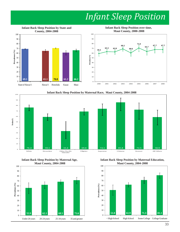### *Infant Sleep Position*







**Infant Back Sleep Position by Maternal Age, Maui County, 2004-2008**



**Infant Back Sleep Position by Maternal Education, Maui County, 2004-2008**

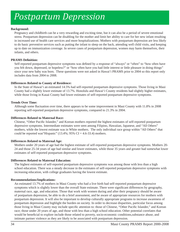### *Postpartum Depression*

#### **Background:**

Pregnancy and childbirth can be a very rewarding and exciting time, but it can also be a period of severe emotional stress. Postpartum depression can be disabling for the mother and limit her ability to care for her new infant resulting in increased use of health care services and more hospitalizations. Mothers with postpartum depression are less likely to do basic preventive services such as putting the infant to sleep on the back, attending well child visits, and keeping up to date on immunization coverage. In severe cases of postpartum depression, women may harm themselves, their infants, and others.

#### **PRAMS Definition:**

Self-reported postpartum depressive symptoms was defined by a response of "always" or "often" to "how often have you felt down, depressed, or hopeless?" or "how often have you had little interest or little pleasure in doing things" since your new baby was born. These questions were not asked in Hawai'i PRAMS prior to 2004 so this report only includes data from 2004 to 2008.

#### **Differences Related to County of Residence:**

In the State of Hawai'i an estimated 14.5% had self-reported postpartum depressive symptoms. Those living in Maui County had a slightly lower estimate of 13.7%. Honolulu and Hawai'i County residents had slightly higher estimates, while those living in Kauai County had lower estimates of self-reported postpartum depressive symptoms.

#### **Trends Over Time:**

Although some fluctuation over time, there appears to be some improvement in Maui County with 11.8% in 2008 reporting self-reported postpartum depressive symptoms, compared to 21.3% in 2004.

#### **Differences Related to Maternal Race:**

Chinese, "Other Pacific Islander," and Korean mothers reported the highest estimates of self-reported postpartum depressive symptoms. Intermediate estimates were seen among Filipino, Hawaiian, Japanese, and "All Others" mothers, while the lowest estimate was in White mothers. The only individual race group within "All Others" that could be reported was "Hispanic"  $(13.4\%; 95\% \text{ CI} = 4.6-33.4)$  mothers.

#### **Differences Related to Maternal Age:**

Mothers under 20 years of age had the highest estimate of self-reported postpartum depressive symptoms. Mothers 20- 24 and those 25-34 years of age had similar and lower estimates, while those 35 years and greater had somewhat lower estimates of self-reported postpartum depressive symptoms.

#### **Differences Related to Maternal Education:**

The highest estimates of self-reported postpartum depressive symptoms was among those with less than a high school education. There was a steady decrease in the estimates of self-reported postpartum depressive symptoms with increasing education, with college graduates having the lowest estimate.

#### **Recommendations/Implications:**

An estimated 13.7% of mothers in Maui County who had a live birth had self-reported postpartum depressive symptoms which is slightly lower than the overall State estimate. There were significant differences by geography, maternal race, age, and education. Those that work with women during and after their pregnancy should be aware of postpartum depression, be able to do a brief assessment, and be aware of appropriate resources for mothers with postpartum depression. It will also be important to develop culturally appropriate programs to increase awareness of postpartum depression and highlight the burden on society. In order to decrease disparities, particular focus among those living in Maui County may include specific attention to: those of Chinese, "Other Pacific Islander," and Korean race; those under 20 years of age, and those with less than a high school education. Other potential correlates that would be beneficial to explore include those related to poverty, socio-economic conditions, substance abuse, and intimate partner violence as they are likely to be associated with postpartum depression.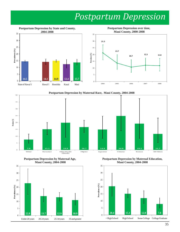### *Postpartum Depression*









**Postpartum Depression by Maternal Education, Maui County, 2004-2008**

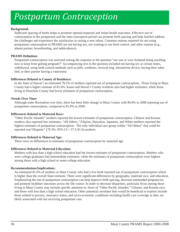### *Postpartum Contraception*

#### **Background:**

Sufficient spacing of births helps to promote optimal maternal and infant health outcomes. Effective use of contraception in the postpartum and the inter-conception period can promote birth spacing and help families address the challenges and experience the satisfaction in raising a new infant. Common reasons reported for not using postpartum contraception in PRAMS are not having sex, not wanting to use birth control, and other reasons (e.g., absent partner, breastfeeding, and ambivalence).

#### **PRAMS Definition:**

Postpartum contraception was assessed among the response to the question "are you or your husband doing anything now to keep from getting pregnant?" Accompanying text in the question included not having sex at certain times, withdrawal, using birth control methods such as pills, condoms, cervical ring, intrauterine device, having their tubes tied, or their partner having a vasectomy.

#### **Differences Related to County of Residence:**

In the State of Hawai'i an estimated 78.2% of mothers reported use of postpartum contraception,. Those living in Maui County had a higher estimate of 81.6%. Kauai and Hawai'i County residents also had higher estimates, while those living in Honolulu County had lower estimates of postpartum contraception.

#### **Trends Over Time:**

Although some fluctuation over time, there has been little change in Maui County with 80.8% in 2008 reporting use of postpartum contraception, compared to 81.8% in 2000.

#### **Differences Related to Maternal Race:**

"Other Pacific Islander" mothers reported the lowest estimates of postpartum contraception. Chinese and Korean mothers also reported low estimates. "All Others," Filipino, Hawaiian, Japanese, and White mothers reported the highest estimates of postpartum contraception. The only individual race group within "All Others" that could be reported was "Hispanic" (79.3%;  $95\%$  CI = 57.5-91.6) mothers.

#### **Differences Related to Maternal Age:**

There were no differences in estimates of postpartum contraception by maternal age.

#### **Differences Related to Maternal Education:**

Mothers with less than a high school education had the lowest estimates of postpartum contraception. Mothers who were college graduates had intermediate estimates, while the estimates of postpartum contraception were highest among those with a high school or some college education.

#### **Recommendations/Implications:**

An estimated 81.6% of mothers in Maui County who had a live birth reported use of postpartum contraception which is higher than the overall State estimate. There were significant differences by geography, maternal race, and education. Emphasizing the use of postpartum contraception can help improve birth spacing, decrease unintended pregnancies, and promote healthier outcomes across the life course. In order to decrease disparities, particular focus among those living in Maui County may include specific attention to: those of "Other Pacific Islander," Chinese, and Korean race; and those with less than a high school education. Other potential correlates that would be beneficial to explore include those related to poverty, insurance status, and socio-economic conditions including health care coverage as they are likely associated with not receiving postpartum care.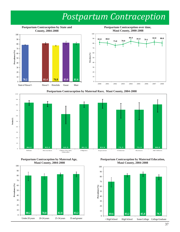# *Postpartum Contraception*

**Postpartum Contraception by State and Postpartum Contraception over time, County, 2004-2008 Maui County, 2000-2008 84.4 81.0 79.1 82.8 80.8 81.8 80.8 75.8 78.0** Prevalence (%) **Prevalence (%)** Prevalence  $(^{9}/_{0})$ **Prevalence (%) 78.2 81.4 76.8 83.0 81.6**  $\theta$  2001 2002 2003 2004 2005 2006 2007 2008 State of Hawai'i Hawai'i Honolulu Kauai Maui









**Postpartum Contraception by Maternal Education, Maui County, 2004-2008**

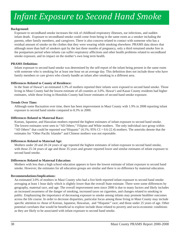# *Infant Exposure to Second Hand Smoke*

#### **Background:**

Exposure to secondhand smoke increases the risk of childhood respiratory illnesses, ear infections, and sudden infant death. Exposure to secondhand smoke could come from being in the same room as a smoker including the parents, other family members, and caregivers. There is also concern related to contact with someone who has a residual amount of smoke on the clothes that they were wearing while smoking elsewhere. PRAMS data shows that although more than half of smokers quit by the last three months of pregnancy, only a third remained smoke free in the postpartum period when infants can suffer respiratory afflictions and other health problems related to secondhand smoke exposure, and its impact on the mother's own long term health.

#### **PRAMS Defi nition:**

Infant exposure to second hand smoke was determined by the self-report of the infant being present in the same room with someone who is smoking for at least one hour on an average day. This definition does not include those who have family members or care givers who closely handle an infant after smoking in a different area.

#### **Differences Related to County of Residence:**

In the State of Hawai'i an estimated 3.3% of mothers reported their infants were exposed to second hand smoke. Those living in Maui County had the lowest estimate of all counties at 3.0%. Hawai'i and Kauai County residents had higher estimates, while those living in Honolulu County had lower estimates of second hand smoke exposure.

#### **Trends Over Time:**

Although some fluctuation over time, there has been improvement in Maui County with 1.9% in 2008 reporting infant exposure to second hand smoke compared to 8.3% in 2000.

#### **Differences Related to Maternal Race:**

Korean, Japanese, and Hawaiian mothers reported the highest estimates of infant exposure to second hand smoke. The lowest estimates were seen in "All Others," Filipino and White mothers. The only individual race group within "All Others" that could be reported was "Hispanic"  $(4.1\%; 95\% \text{ CI} = 0.6-22.4)$  mothers. The asterisks denote that the estimates for "Other Pacific Islander" and Chinese mothers was not reportable.

#### **Differences Related to Maternal Age:**

Mothers under 20 and 20-24 years of age reported the highest estimates of infant exposure to second hand smoke, with those 25-34 years of age and those 35 years and greater reported lower and similar estimates of infant exposure to second hand smoke.

#### **Differences Related to Maternal Education:**

Mothers with less than a high school education appears to have the lowest estimate of infant exposure to second hand smoke. However, the estimates for all education groups are similar and there is no difference by maternal education.

#### **Recommendations/Implications:**

An estimated 3.0% of mothers in Maui County who had a live birth reported infant exposure to second hand smoke averaging at least 1 hour daily which is slightly lower than the overall State estimate. There were some differences by geography, maternal race, and age. The overall improvement seen since 2000 is due to many factors and likely includes an increased awareness of the danger of smoking, increased taxes on cigarettes, and changes related to smoking in public. Emphasizing the importance of decreasing exposure to smoke among infants may promote healthier outcomes across the life course. In order to decrease disparities, particular focus among those living in Maui County may include specific attention to: those of Korean, Japanese, Hawaiian, and "Hispanic" race; and those under 25 years of age. Other potential correlates that would be beneficial to explore include those related to poverty and socio-economic conditions as they are likely to be associated with infant exposure to second hand smoke.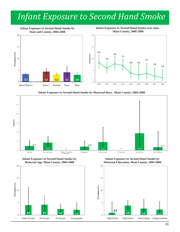### *Infant Exposure to Second Hand Smoke*



**Infant Exposure to Second Hand Smoke by Maternal Race, Maui County, 2004-2008**







**Infant Exposure to Second Hand Smoke by Maternal Education, Maui County, 2004-2008**

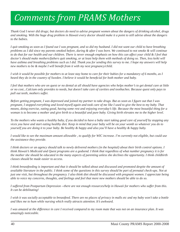### *Comments from PRAMS Mothers*

*Thank God I never did drugs; but doctors do need to advise pregnant women about the dangers of drinking alcohol, drugs and smoking. With the huge drug problem in Hawaii every doctor should make it a point to still advise about the dangers to the babies.*

*I quit smoking as soon as I found out I was pregnant, and so did my husband. I did not want our child to have breathing problems as I did since my parents smoked before, during & after I was born. We continued to not smoke & will continue to do that for our health and our children. There is never enough emphasis on how this can affect your child & I feel that doctor's should make mothers/fathers quit smoking, or at least help them with methods of doing so. Then, less keiki will have asthma and breathing problems such as I did. Thank you for sending this survey to me. I hope my answers will help new mothers to be & maybe I will benefi t from it with my next pregnancy/child.*

*I wish it would be possible for mothers to at least stay home to care for their babies for a mandatory of 6 months, as I heard they do in the country of Sweden. I believe it would be benefi cial for both mother and baby.*

*I feel that mothers who are on quest or no dental at all should have agencies who helps mother's to get dental care at little or no cost...Calcium only provides to needs, but doesn't take care of cavities and toothaches. Because quest only pays to pull out teeth, mothers suffer.* 

*Before getting pregnant, I was depressed and joined my partner to take drugs. But as soon as I figure out that I was pregnant, I stopped everything and loved myself again and took care of me like I used to give the best to my baby. That means, doing exercise, eating good, having some rest and enjoying everyday's life. Because the most beautiful thing for a woman is to become a mother and give birth to a beautiful and pure baby. Giving birth elevates me to the higher level.*

*To the mothers who wants a healthy baby, if you decided to have a baby start taking good care of yourself by stopping any vices you have and start eating healthy diet. Keep in mind that your baby will be on your womb so whatever you do to yourself you are doing it to your baby. Be healthy & happy and also you'll have a healthy & happy baby.*

*I would like to see the maximum amount allowable , to qualify for WIC increase. I'm currently not eligible, but could use the assistance they provide.*

*I think doctors or an agency should talk to newly delivered mothers (in the hospital) about their birth control options. I think Hawaii's Medicaid and Quest programs are a godsend. I think that regardless of what number pregnancy it is for the mother she should be educated in the many aspects of parenting unless she declines the opportunity. I think childbirth classes should be made easier to access.* 

*I think breastfeeding is important and that it should be talked about and discussed and promoted despite the amount of available literature in the public. I think some of the questions in this survey should be part of prenatal check-ups. Not at just one visit, but throughout the pregnancy. I also think diet should be discussed with pregnant women. I appreciate being able to voice my concerns, thoughts, and feelings and feel that more new mothers should be able to do so.*

*I suffered from Postpartum Depression --there are not enough resources/help in Hawaii for mothers who suffer from this. It can be debilitating!*

*I wish it was socially acceptable to breastfeed. There are no places of privacy in malls etc and my baby won't take a bottle and likes me to hum while nursing which really attracts attention. It's awkward.*

*I was amazed at the difference in care I received compared to my room mate that was not on an insurance plan. It was amazingly noticeable.*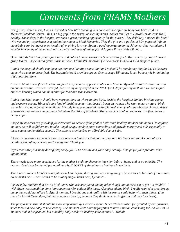## *Comments from PRAMS Mothers*

*Being a registered nurse, I was surprised at how little teaching was done with me after my baby was born at Maui Memorial Medical Center... this is a big gap in the system of keeping moms, babies,families in Hawaii (or at least Maui)*  healthy. Those days in the hospital are such a great teaching opportunity for the nurses. They definitely "missed the boat" *with me and my experience as a patient/new mom at Maui Memorial. They did give me a packet of 30+ pages of info on mom/babycare, but never mentioned it after giving it to me. Again a good opportunity to teach/review that was missed. I wonder how many of the moms/dads actually read through the papers-it's great if they do-but if not....*

*Outer islands have hui groups for mom's and babies to meet to discuss & receive support. Maui currently doesn't have a group leader. I hope that a group starts up soon. I think it's important for new moms to have a solid support system.* 

*I think the hospital should employ more than one lactation consultant and it should be mandatory that the LC visits every mom who wants to breastfeed. The hospital should provide support & encourage BF moms. It can be scary & intimidating if it's your first time.* 

*I live on Maui. I was fl own to Oahu to give birth, because of pretern labor and breach. My medical didn't cover housing on another island. This was stressful, because my baby stayed in the NICU for 4 days after my birth and we had to find our own housing which had no monies for food and transportation.*

*I think that Maui county should have more options on where to give birth, besides the hospitals limited birthing rooms and recovery rooms. We need some kind of birthing center that doesn't frown on woman who want a more natural birth. Water births should be made available. We only have one hospital making it hard when you're in labor-you have to drive sometimes over an hour to get there heightens the risks of problems. Many mothers don't go to doctor as often due to it being so far.*

*I hope my answers can give/help your research to achieve your goal to have more healthy mothers and babies. To enforce mothers as well as fathers not to take illegal drugs, conduct more counseling and provide more visual aids especially to these young mothers(high school). The state to provide free or affordable doctor's fee.*

*It's really important to see a doctor as soon as you found out that you're pregnant. It's important to take care of your health,before, after, or when you're pregnant. Thank you.*

*If you take care your body during pregnancy, you'll be healthy and your baby healthy. Also go for your prenatal visit appointment*

*There needs to be more acceptance for the mother's right to choose to have her baby at home and use a midwife. The mother should not be denied pre natal care by OBGYN's if she plans on having a home birth.*

*There seems to be a lot of overweight moms here before, during, and after pregnancy. There seems to be a lot of moms into home births here. There seems to be a lot of single moms here, by choice.*

*I know a few mothers that are on Med-Quest who use marijuana among other things, but never seem to get "in trouble". I wish there was something done (consequences) for actions like these. Also,after giving birth, I really wanted a great breast pump, but could not afford it. After 2 months, I bought one and really wish insurance could help with such things. (I'm thankful for all Quest does, but many mothers give up, because they think they can't afford it and they lose hope).* 

*The postpartum issue: it should be more emphasized by medical experts. Since it's been taken for granted by our partners, since there's a new baby to take care of. The mothers were already forgotten to have emotion counseling too. As well as us mothers took it for granted, but a healthy body needs "a healthy state of mind". Mahalo*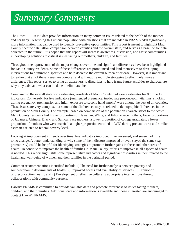The Hawai'i PRAMS data provides information on many common issues related to the health of the mother and her baby. Describing this unique population with questions that are included in PRAMS adds significantly more information that can be used to identify preventive opportunities. This report is meant to highlight Maui County specific data, allow comparison between counties and the overall state, and serve as a baseline for data collected in the future. It is hoped that this report will increase awareness, discussion, and assist communities in developing solutions to critical issues facing our mothers, children, and families.

Throughout the report, some of the major changes over time and significant differences have been highlighted for Maui County residents. Some of these differences are pronounced and lend themselves to developing interventions to eliminate disparities and help decrease the overall burden of disease. However, it is important to realize that all of these issues are complex and will require multiple strategies to effectively make a difference. This report serves to bring an awareness to disparities to help frame future activities to characterize why they exist and what can be done to eliminate them.

Compared to the overall state wide estimates, residents of Maui County had worse estimates for 8 of the 17 indicators. Conversely, for five indicators (unintended pregnancy, inadequate preconceptin vitamins, smoking during pregnancy, prematurity, and infant exposure to second hand smoke) were among the best of all counties. These issues are very complex, but some of the differences may be related to demographic differences in the population of Maui County. For example, based on comparison of the population characteristics to the State: Maui County residents had higher proportion of Hawaiian, White, and Filipino race mothers; lower proportions of Japanese, Chinese, Black, and Samoan race mothers; a lower proportion of college graduates; a lower proportion of mothers who were married; a higher proportion enrolled in WIC during prenatal care; and similar estimates related to federal poverty level.

Looking at improvement in trends over time, five indicators improved, five worsened, and seven had little to no change. A better understanding of why some of the indicators improved or even stayed the same (e.g., prematurity) could be helpful for identifying strategies to promote further gains in these and other areas of health. To continue to improve the health of families in Maui County, efforts to improve in all aspects of health is needed. This report highlights some representative indicators and significant disparities in them related to the health and well-being of women and their families in the perinatal period.

Common recommendations identified include 1) The need for further analysis between poverty and socio-economic determinants of health; 2) Improved access and availability of services; 3) Promotion of preconception health; and 4) Development of effective culturally appropriate interventions through collaborations with community partners.

Hawai'i PRAMS is committed to provide valuable data and promote awareness of issues facing mothers, children, and their families. Additional data and information is available and those interested are encouraged to contact Hawai'i PRAMS.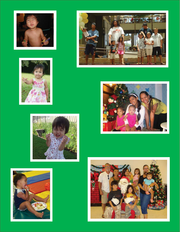